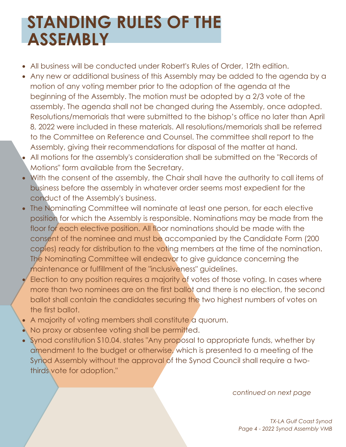## **STANDING RULES OF THE ASSEMBLY**

- All business will be conducted under Robert's Rules of Order, 12th edition.
- Any new or additional business of this Assembly may be added to the agenda by a motion of any voting member prior to the adoption of the agenda at the beginning of the Assembly. The motion must be adopted by a 2/3 vote of the assembly. The agenda shall not be changed during the Assembly, once adopted. Resolutions/memorials that were submitted to the bishop's office no later than April 8, 2022 were included in these materials. All resolutions/memorials shall be referred to the Committee on Reference and Counsel. The committee shall report to the Assembly, giving their recommendations for disposal of the matter at hand.
- All motions for the assembly's consideration shall be submitted on the "Records of Motions" form available from the Secretary.
- With the consent of the assembly, the Chair shall have the authority to call items of business before the assembly in whatever order seems most expedient for the conduct of the Assembly's business.
- The Nominating Committee will nominate at least one person, for each elective position for which the Assembly is responsible. Nominations may be made from the floor for each elective position. All floor nominations should be made with the consent of the nominee and must be accompanied by the Candidate Form (200 copies) ready for distribution to the voting members at the time of the nomination. The Nominating Committee will endeavor to give guidance concerning the maintenance or fulfillment of the "inclusiveness" guidelines.
- Election to any position requires a majority of votes of those voting. In cases where more than two nominees are on the first ballot and there is no election, the second ballot shall contain the candidates securing the two highest numbers of votes on the first ballot.
- A majority of voting members shall constitute a quorum.
- No proxy or absentee voting shall be permitted.
- Synod constitution S10.04. states "Any proposal to appropriate funds, whether by amendment to the budget or otherwise, which is presented to a meeting of the Synod Assembly without the approval of the Synod Council shall require a twothirds vote for adoption."

*continued on next page*